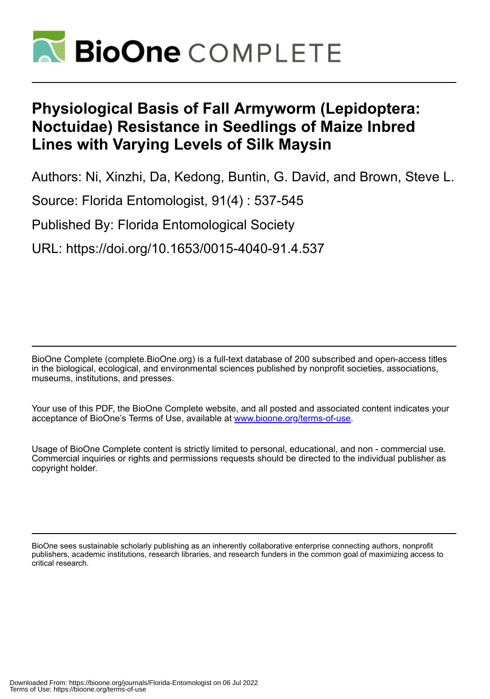

# **Physiological Basis of Fall Armyworm (Lepidoptera: Noctuidae) Resistance in Seedlings of Maize Inbred Lines with Varying Levels of Silk Maysin**

Authors: Ni, Xinzhi, Da, Kedong, Buntin, G. David, and Brown, Steve L.

Source: Florida Entomologist, 91(4) : 537-545

Published By: Florida Entomological Society

URL: https://doi.org/10.1653/0015-4040-91.4.537

BioOne Complete (complete.BioOne.org) is a full-text database of 200 subscribed and open-access titles in the biological, ecological, and environmental sciences published by nonprofit societies, associations, museums, institutions, and presses.

Your use of this PDF, the BioOne Complete website, and all posted and associated content indicates your acceptance of BioOne's Terms of Use, available at www.bioone.org/terms-of-use.

Usage of BioOne Complete content is strictly limited to personal, educational, and non - commercial use. Commercial inquiries or rights and permissions requests should be directed to the individual publisher as copyright holder.

BioOne sees sustainable scholarly publishing as an inherently collaborative enterprise connecting authors, nonprofit publishers, academic institutions, research libraries, and research funders in the common goal of maximizing access to critical research.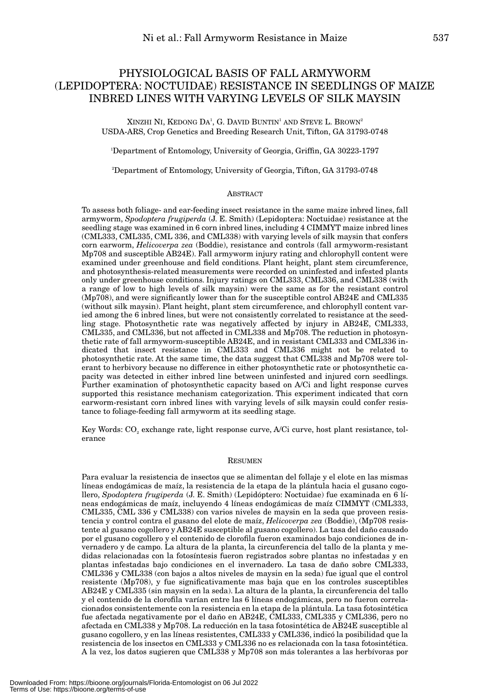## PHYSIOLOGICAL BASIS OF FALL ARMYWORM (LEPIDOPTERA: NOCTUIDAE) RESISTANCE IN SEEDLINGS OF MAIZE INBRED LINES WITH VARYING LEVELS OF SILK MAYSIN

XINZHI NI, KEDONG DA<sup>1</sup>, G. DAVID BUNTIN<sup>1</sup> AND STEVE L. BROWN<sup>2</sup> USDA-ARS, Crop Genetics and Breeding Research Unit, Tifton, GA 31793-0748

1 Department of Entomology, University of Georgia, Griffin, GA 30223-1797

2 Department of Entomology, University of Georgia, Tifton, GA 31793-0748

#### ABSTRACT

To assess both foliage- and ear-feeding insect resistance in the same maize inbred lines, fall armyworm, *Spodoptera frugiperda* (J. E. Smith) (Lepidoptera: Noctuidae) resistance at the seedling stage was examined in 6 corn inbred lines, including 4 CIMMYT maize inbred lines (CML333, CML335, CML 336, and CML338) with varying levels of silk maysin that confers corn earworm, *Helicoverpa zea* (Boddie), resistance and controls (fall armyworm-resistant Mp708 and susceptible AB24E). Fall armyworm injury rating and chlorophyll content were examined under greenhouse and field conditions. Plant height, plant stem circumference, and photosynthesis-related measurements were recorded on uninfested and infested plants only under greenhouse conditions. Injury ratings on CML333, CML336, and CML338 (with a range of low to high levels of silk maysin) were the same as for the resistant control (Mp708), and were significantly lower than for the susceptible control AB24E and CML335 (without silk maysin). Plant height, plant stem circumference, and chlorophyll content varied among the 6 inbred lines, but were not consistently correlated to resistance at the seedling stage. Photosynthetic rate was negatively affected by injury in AB24E, CML333, CML335, and CML336, but not affected in CML338 and Mp708. The reduction in photosynthetic rate of fall armyworm-susceptible AB24E, and in resistant CML333 and CML336 indicated that insect resistance in CML333 and CML336 might not be related to photosynthetic rate. At the same time, the data suggest that CML338 and Mp708 were tolerant to herbivory because no difference in either photosynthetic rate or photosynthetic capacity was detected in either inbred line between uninfested and injured corn seedlings. Further examination of photosynthetic capacity based on A/Ci and light response curves supported this resistance mechanism categorization. This experiment indicated that corn earworm-resistant corn inbred lines with varying levels of silk maysin could confer resistance to foliage-feeding fall armyworm at its seedling stage.

Key Words: CO<sub>2</sub> exchange rate, light response curve, A/Ci curve, host plant resistance, tolerance

#### RESUMEN

Para evaluar la resistencia de insectos que se alimentan del follaje y el elote en las mismas líneas endogámicas de maíz, la resistencia de la etapa de la plántula hacia el gusano cogollero, *Spodoptera frugiperda* (J. E. Smith) (Lepidóptero: Noctuidae) fue examinada en 6 líneas endogámicas de maíz, incluyendo 4 líneas endogámicas de maíz CIMMYT (CML333, CML335, CML 336 y CML338) con varios niveles de maysin en la seda que proveen resistencia y control contra el gusano del elote de maíz, *Helicoverpa zea* (Boddie), (Mp708 resistente al gusano cogollero y AB24E susceptible al gusano cogollero). La tasa del daño causado por el gusano cogollero y el contenido de clorofila fueron examinados bajo condiciones de invernadero y de campo. La altura de la planta, la circunferencia del tallo de la planta y medidas relacionadas con la fotosíntesis fueron registrados sobre plantas no infestadas y en plantas infestadas bajo condiciones en el invernadero. La tasa de daño sobre CML333, CML336 y CML338 (con bajos a altos niveles de maysin en la seda) fue igual que el control resistente (Mp708), y fue significativamente mas baja que en los controles susceptibles AB24E y CML335 (sin maysin en la seda). La altura de la planta, la circunferencia del tallo y el contenido de la clorofila varían entre las 6 líneas endogámicas, pero no fueron correlacionados consistentemente con la resistencia en la etapa de la plántula. La tasa fotosintética fue afectada negativamente por el daño en AB24E, CML333, CML335 y CML336, pero no afectada en CML338 y Mp708. La reducción en la tasa fotosintética de AB24E susceptible al gusano cogollero, y en las líneas resistentes, CML333 y CML336, indicó la posibilidad que la resistencia de los insectos en CML333 y CML336 no es relacionada con la tasa fotosintética. A la vez, los datos sugieren que CML338 y Mp708 son más tolerantes a las herbívoras por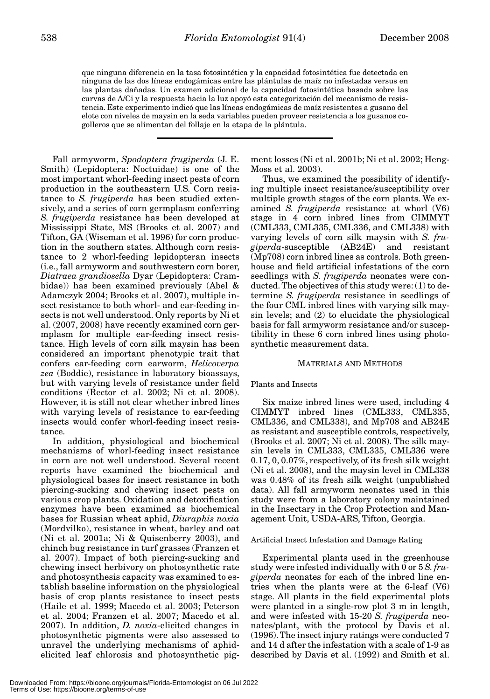que ninguna diferencia en la tasa fotosintética y la capacidad fotosintética fue detectada en ninguna de las dos líneas endogámicas entre las plántulas de maíz no infestadas versus en las plantas dañadas. Un examen adicional de la capacidad fotosintética basada sobre las curvas de A/Ci y la respuesta hacia la luz apoyó esta categorización del mecanismo de resistencia. Este experimento indicó que las líneas endogámicas de maíz resistentes a gusano del elote con niveles de maysin en la seda variables pueden proveer resistencia a los gusanos cogolleros que se alimentan del follaje en la etapa de la plántula.

Fall armyworm, *Spodoptera frugiperda* (J. E. Smith) (Lepidoptera: Noctuidae) is one of the most important whorl-feeding insect pests of corn production in the southeastern U.S. Corn resistance to *S. frugiperda* has been studied extensively, and a series of corn germplasm conferring *S. frugiperda* resistance has been developed at Mississippi State, MS (Brooks et al. 2007) and Tifton, GA (Wiseman et al. 1996) for corn production in the southern states. Although corn resistance to 2 whorl-feeding lepidopteran insects (i.e., fall armyworm and southwestern corn borer, *Diatraea grandiosella* Dyar (Lepidoptera: Crambidae)) has been examined previously (Abel & Adamczyk 2004; Brooks et al. 2007), multiple insect resistance to both whorl- and ear-feeding insects is not well understood. Only reports by Ni et al. (2007, 2008) have recently examined corn germplasm for multiple ear-feeding insect resistance. High levels of corn silk maysin has been considered an important phenotypic trait that confers ear-feeding corn earworm, *Helicoverpa zea* (Boddie), resistance in laboratory bioassays, but with varying levels of resistance under field conditions (Rector et al. 2002; Ni et al. 2008). However, it is still not clear whether inbred lines with varying levels of resistance to ear-feeding insects would confer whorl-feeding insect resistance.

In addition, physiological and biochemical mechanisms of whorl-feeding insect resistance in corn are not well understood. Several recent reports have examined the biochemical and physiological bases for insect resistance in both piercing-sucking and chewing insect pests on various crop plants. Oxidation and detoxification enzymes have been examined as biochemical bases for Russian wheat aphid, *Diuraphis noxia* (Mordvilko), resistance in wheat, barley and oat (Ni et al. 2001a; Ni & Quisenberry 2003), and chinch bug resistance in turf grasses (Franzen et al. 2007). Impact of both piercing-sucking and chewing insect herbivory on photosynthetic rate and photosynthesis capacity was examined to establish baseline information on the physiological basis of crop plants resistance to insect pests (Haile et al. 1999; Macedo et al. 2003; Peterson et al. 2004; Franzen et al. 2007; Macedo et al. 2007). In addition, *D. noxia*-elicited changes in photosynthetic pigments were also assessed to unravel the underlying mechanisms of aphidelicited leaf chlorosis and photosynthetic pigment losses (Ni et al. 2001b; Ni et al. 2002; Heng-Moss et al. 2003).

Thus, we examined the possibility of identifying multiple insect resistance/susceptibility over multiple growth stages of the corn plants. We examined *S. frugiperda* resistance at whorl (V6) stage in 4 corn inbred lines from CIMMYT (CML333, CML335, CML336, and CML338) with varying levels of corn silk maysin with *S. frugiperda*-susceptible (AB24E) and resistant (Mp708) corn inbred lines as controls. Both greenhouse and field artificial infestations of the corn seedlings with *S. frugiperda* neonates were conducted. The objectives of this study were: (1) to determine *S. frugiperda* resistance in seedlings of the four CML inbred lines with varying silk maysin levels; and (2) to elucidate the physiological basis for fall armyworm resistance and/or susceptibility in these 6 corn inbred lines using photosynthetic measurement data.

## MATERIALS AND METHODS

### Plants and Insects

Six maize inbred lines were used, including 4 CIMMYT inbred lines (CML333, CML335, CML336, and CML338), and Mp708 and AB24E as resistant and susceptible controls, respectively, (Brooks et al. 2007; Ni et al. 2008). The silk maysin levels in CML333, CML335, CML336 were 0.17, 0, 0.07%, respectively, of its fresh silk weight (Ni et al. 2008), and the maysin level in CML338 was 0.48% of its fresh silk weight (unpublished data). All fall armyworm neonates used in this study were from a laboratory colony maintained in the Insectary in the Crop Protection and Management Unit, USDA-ARS, Tifton, Georgia.

### Artificial Insect Infestation and Damage Rating

Experimental plants used in the greenhouse study were infested individually with 0 or 5 *S. frugiperda* neonates for each of the inbred line entries when the plants were at the 6-leaf (V6) stage. All plants in the field experimental plots were planted in a single-row plot 3 m in length, and were infested with 15-20 *S. frugiperda* neonates/plant, with the protocol by Davis et al. (1996). The insect injury ratings were conducted 7 and 14 d after the infestation with a scale of 1-9 as described by Davis et al. (1992) and Smith et al.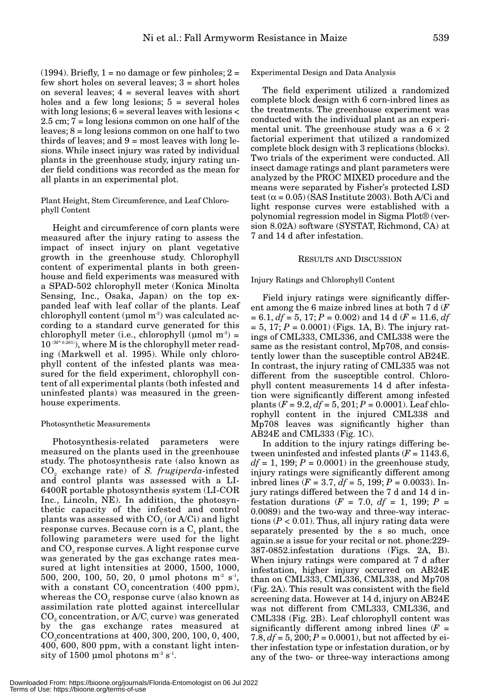$(1994)$ . Briefly,  $1 = no$  damage or few pinholes;  $2 =$ few short holes on several leaves; 3 = short holes on several leaves; 4 = several leaves with short holes and a few long lesions;  $5 =$  several holes with long lesions;  $6 =$  several leaves with lesions  $<$ 2.5 cm; 7 = long lesions common on one half of the leaves; 8 = long lesions common on one half to two thirds of leaves; and  $9 = \text{most leaves with long le-}$ sions. While insect injury was rated by individual plants in the greenhouse study, injury rating under field conditions was recorded as the mean for all plants in an experimental plot.

## Plant Height, Stem Circumference, and Leaf Chlorophyll Content

Height and circumference of corn plants were measured after the injury rating to assess the impact of insect injury on plant vegetative growth in the greenhouse study. Chlorophyll content of experimental plants in both greenhouse and field experiments was measured with a SPAD-502 chlorophyll meter (Konica Minolta Sensing, Inc., Osaka, Japan) on the top expanded leaf with leaf collar of the plants. Leaf chlorophyll content ( $\mu$ mol m<sup>-2</sup>) was calculated according to a standard curve generated for this chlorophyll meter (i.e., chlorophyll ( $\mu$ mol m<sup>-2</sup>) =  $10^{(M^{\wedge} 0.261)}$ , where M is the chlorophyll meter reading (Markwell et al. 1995). While only chlorophyll content of the infested plants was measured for the field experiment, chlorophyll content of all experimental plants (both infested and uninfested plants) was measured in the greenhouse experiments.

## Photosynthetic Measurements

Photosynthesis-related parameters were measured on the plants used in the greenhouse study. The photosynthesis rate (also known as CO2 exchange rate) of *S. frugiperda*-infested and control plants was assessed with a LI-6400R portable photosynthesis system (LI-COR Inc., Lincoln, NE). In addition, the photosynthetic capacity of the infested and control plants was assessed with  $CO<sub>2</sub>$  (or A/Ci) and light response curves. Because corn is a  $C_4$  plant, the following parameters were used for the light and  $CO<sub>2</sub>$  response curves. A light response curve was generated by the gas exchange rates measured at light intensities at 2000, 1500, 1000, 500, 200, 100, 50, 20, 0 µmol photons m<sup>-2</sup> s<sup>-1</sup>, with a constant  $CO<sub>2</sub>$  concentration (400 ppm), whereas the  $CO<sub>2</sub>$  response curve (also known as assimilation rate plotted against intercellular  $CO<sub>2</sub>$  concentration, or  $A/C<sub>i</sub>$  curve) was generated by the gas exchange rates measured at CO<sub>2</sub>concentrations at 400, 300, 200, 100, 0, 400, 400, 600, 800 ppm, with a constant light intensity of 1500 µmol photons  $m^2 s^1$ .

Experimental Design and Data Analysis

The field experiment utilized a randomized complete block design with 6 corn-inbred lines as the treatments. The greenhouse experiment was conducted with the individual plant as an experimental unit. The greenhouse study was a  $6 \times 2$ factorial experiment that utilized a randomized complete block design with 3 replications (blocks). Two trials of the experiment were conducted. All insect damage ratings and plant parameters were analyzed by the PROC MIXED procedure and the means were separated by Fisher's protected LSD test ( $\alpha$  = 0.05) (SAS Institute 2003). Both A/Ci and light response curves were established with a polynomial regression model in Sigma Plot® (version 8.02A) software (SYSTAT, Richmond, CA) at 7 and 14 d after infestation.

## RESULTS AND DISCUSSION

## Injury Ratings and Chlorophyll Content

Field injury ratings were significantly different among the 6 maize inbred lines at both 7 d (*F*  $= 6.1, df = 5, 17; P = 0.002$  and 14 d ( $F = 11.6, df$ )  $= 5, 17; P = 0.0001$  (Figs. 1A, B). The injury ratings of CML333, CML336, and CML338 were the same as the resistant control, Mp708, and consistently lower than the susceptible control AB24E. In contrast, the injury rating of CML335 was not different from the susceptible control. Chlorophyll content measurements 14 d after infestation were significantly different among infested plants (*F* = 9.2, *df* = 5, 201; *P* = 0.0001). Leaf chlorophyll content in the injured CML338 and Mp708 leaves was significantly higher than AB24E and CML333 (Fig. 1C).

In addition to the injury ratings differing between uninfested and infested plants (*F* = 1143.6,  $df = 1$ , 199;  $P = 0.0001$  in the greenhouse study, injury ratings were significantly different among inbred lines ( $F = 3.7$ ,  $df = 5$ , 199;  $P = 0.0033$ ). Injury ratings differed between the 7 d and 14 d infestation durations ( $F = 7.0$ ,  $df = 1$ , 199;  $P =$ 0.0089) and the two-way and three-way interactions (*P* < 0.01). Thus, all injury rating data were separately presented by the s so much, once again.se a issue for your recital or not. phone:229- 387-0852.infestation durations (Figs. 2A, B). When injury ratings were compared at 7 d after infestation, higher injury occurred on AB24E than on CML333, CML336, CML338, and Mp708 (Fig. 2A). This result was consistent with the field screening data. However at 14 d, injury on AB24E was not different from CML333, CML336, and CML338 (Fig. 2B). Leaf chlorophyll content was significantly different among inbred lines  $(F =$ 7.8,  $df = 5$ , 200;  $P = 0.0001$ ), but not affected by either infestation type or infestation duration, or by any of the two- or three-way interactions among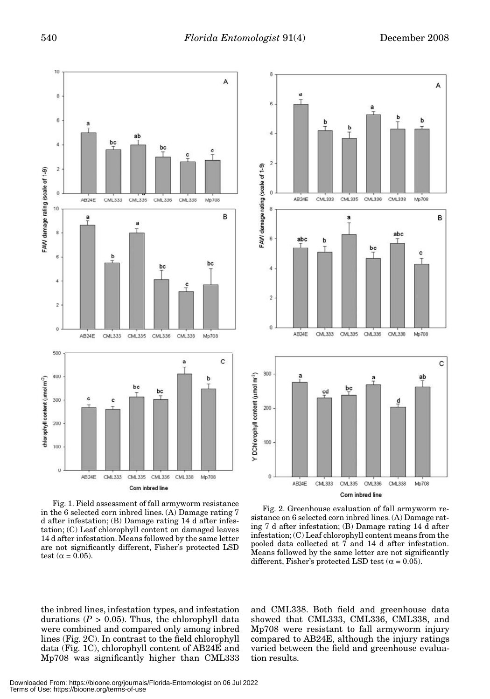6

4

 $\overline{2}$ 

 $\theta$ 

8

AB<sub>24</sub>E

CML333

CML335

a

CML336

CML338

Mp708

B

A



FAW damage rating (scale of 1-9) 6 abc b bc ċ 4  $\overline{2}$  $\overline{0}$ Mp708 AB24E CML333 CML335 CML336 CML338 C 300 Y DChlorophyll centent (umol m<sup>2</sup>) ab a bc cd 200 100  $\theta$ AB24E CML333 CML335 CML336 CML338 Mp708 Corn inbred line Fig. 2. Greenhouse evaluation of fall armyworm re-

Fig. 1. Field assessment of fall armyworm resistance in the 6 selected corn inbred lines. (A) Damage rating 7 d after infestation; (B) Damage rating 14 d after infestation; (C) Leaf chlorophyll content on damaged leaves 14 d after infestation. Means followed by the same letter are not significantly different, Fisher's protected LSD test ( $\alpha$  = 0.05).

sistance on 6 selected corn inbred lines. (A) Damage rating 7 d after infestation; (B) Damage rating 14 d after infestation; (C) Leaf chlorophyll content means from the pooled data collected at 7 and 14 d after infestation. Means followed by the same letter are not significantly different, Fisher's protected LSD test ( $\alpha$  = 0.05).

the inbred lines, infestation types, and infestation durations  $(P > 0.05)$ . Thus, the chlorophyll data were combined and compared only among inbred lines (Fig. 2C). In contrast to the field chlorophyll data (Fig. 1C), chlorophyll content of AB24E and Mp708 was significantly higher than CML333 and CML338. Both field and greenhouse data showed that CML333, CML336, CML338, and Mp708 were resistant to fall armyworm injury compared to AB24E, although the injury ratings varied between the field and greenhouse evaluation results.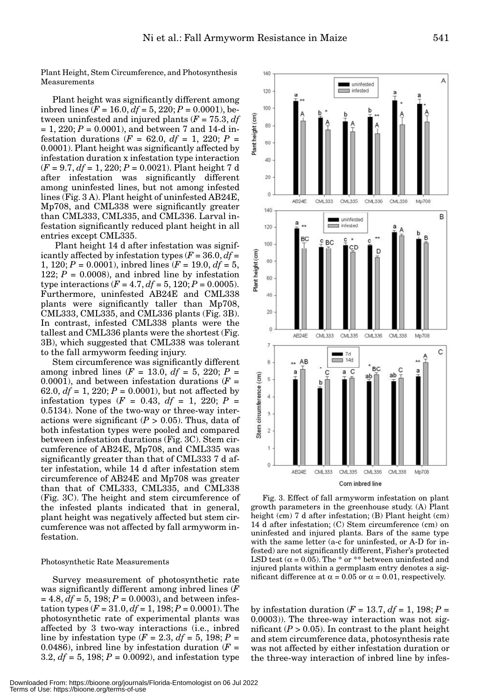Plant Height, Stem Circumference, and Photosynthesis Measurements

Plant height was significantly different among inbred lines ( $F = 16.0$ ,  $df = 5$ , 220;  $P = 0.0001$ ), between uninfested and injured plants  $(F = 75.3, df)$  $= 1, 220; P = 0.0001$ , and between 7 and 14-d infestation durations ( $F = 62.0, df = 1, 220; P =$ 0.0001). Plant height was significantly affected by infestation duration x infestation type interaction (*F* = 9.7, *df* = 1, 220; *P* = 0.0021). Plant height 7 d after infestation was significantly different among uninfested lines, but not among infested lines (Fig. 3 A). Plant height of uninfested AB24E, Mp708, and CML338 were significantly greater than CML333, CML335, and CML336. Larval infestation significantly reduced plant height in all entries except CML335.

Plant height 14 d after infestation was significantly affected by infestation types  $(F = 36.0, df =$ 1, 120; *P* = 0.0001), inbred lines (*F* = 19.0, *df* = 5, 122;  $P = 0.0008$ , and inbred line by infestation type interactions  $(F = 4.7, df = 5, 120; P = 0.0005)$ . Furthermore, uninfested AB24E and CML338 plants were significantly taller than Mp708, CML333, CML335, and CML336 plants (Fig. 3B). In contrast, infested CML338 plants were the tallest and CML336 plants were the shortest (Fig. 3B), which suggested that CML338 was tolerant to the fall armyworm feeding injury.

Stem circumference was significantly different among inbred lines ( $F = 13.0$ ,  $df = 5$ , 220;  $P =$ 0.0001), and between infestation durations  $(F =$ 62.0,  $df = 1$ , 220;  $P = 0.0001$ ), but not affected by infestation types ( $F = 0.43$ ,  $df = 1$ , 220;  $P =$ 0.5134). None of the two-way or three-way interactions were significant  $(P > 0.05)$ . Thus, data of both infestation types were pooled and compared between infestation durations (Fig. 3C). Stem circumference of AB24E, Mp708, and CML335 was significantly greater than that of CML333 7 d after infestation, while 14 d after infestation stem circumference of AB24E and Mp708 was greater than that of CML333, CML335, and CML338 (Fig. 3C). The height and stem circumference of the infested plants indicated that in general, plant height was negatively affected but stem circumference was not affected by fall armyworm infestation.

### Photosynthetic Rate Measurements

Survey measurement of photosynthetic rate was significantly different among inbred lines (*F*  $= 4.8, df = 5, 198; P = 0.0003$ , and between infestation types  $(F = 31.0, df = 1, 198; P = 0.0001)$ . The photosynthetic rate of experimental plants was affected by 3 two-way interactions (i.e., inbred line by infestation type  $(F = 2.3, df = 5, 198; P = 1)$ 0.0486), inbred line by infestation duration  $(F =$ 3.2,  $df = 5$ , 198;  $P = 0.0092$ ), and infestation type



Fig. 3. Effect of fall armyworm infestation on plant growth parameters in the greenhouse study. (A) Plant height (cm) 7 d after infestation; (B) Plant height (cm) 14 d after infestation; (C) Stem circumference (cm) on uninfested and injured plants. Bars of the same type with the same letter (a-c for uninfested, or A-D for infested) are not significantly different, Fisher's protected LSD test ( $\alpha$  = 0.05). The \* or \*\* between uninfested and injured plants within a germplasm entry denotes a significant difference at  $\alpha = 0.05$  or  $\alpha = 0.01$ , respectively.

by infestation duration ( $F = 13.7$ ,  $df = 1$ , 198;  $P =$ 0.0003)). The three-way interaction was not significant  $(P > 0.05)$ . In contrast to the plant height and stem circumference data, photosynthesis rate was not affected by either infestation duration or the three-way interaction of inbred line by infes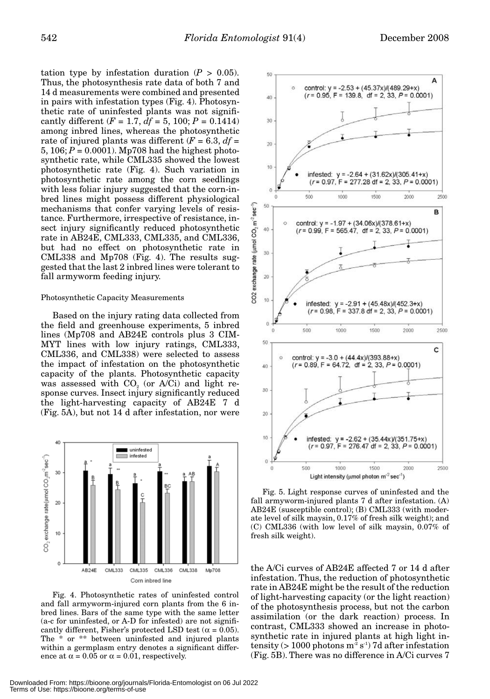tation type by infestation duration  $(P > 0.05)$ . Thus, the photosynthesis rate data of both 7 and 14 d measurements were combined and presented in pairs with infestation types (Fig. 4). Photosynthetic rate of uninfested plants was not significantly different  $(F = 1.7, df = 5, 100; P = 0.1414)$ among inbred lines, whereas the photosynthetic rate of injured plants was different  $(F = 6.3, df =$ 5,  $106; P = 0.0001$ ). Mp708 had the highest photosynthetic rate, while CML335 showed the lowest photosynthetic rate (Fig. 4). Such variation in photosynthetic rate among the corn seedlings with less foliar injury suggested that the corn-inbred lines might possess different physiological mechanisms that confer varying levels of resistance. Furthermore, irrespective of resistance, insect injury significantly reduced photosynthetic rate in AB24E, CML333, CML335, and CML336, but had no effect on photosynthetic rate in CML338 and Mp708 (Fig. 4). The results suggested that the last 2 inbred lines were tolerant to fall armyworm feeding injury.

#### Photosynthetic Capacity Measurements

Based on the injury rating data collected from the field and greenhouse experiments, 5 inbred lines (Mp708 and AB24E controls plus 3 CIM-MYT lines with low injury ratings, CML333, CML336, and CML338) were selected to assess the impact of infestation on the photosynthetic capacity of the plants. Photosynthetic capacity was assessed with  $CO<sub>2</sub>$  (or  $A/Ci$ ) and light response curves. Insect injury significantly reduced the light-harvesting capacity of AB24E 7 d (Fig. 5A), but not 14 d after infestation, nor were



Fig. 4. Photosynthetic rates of uninfested control and fall armyworm-injured corn plants from the 6 inbred lines. Bars of the same type with the same letter (a-c for uninfested, or A-D for infested) are not significantly different, Fisher's protected LSD test ( $\alpha = 0.05$ ). The \* or \*\* between uninfested and injured plants within a germplasm entry denotes a significant difference at  $\alpha = 0.05$  or  $\alpha = 0.01$ , respectively.



Fig. 5. Light response curves of uninfested and the fall armyworm-injured plants 7 d after infestation. (A) AB24E (susceptible control); (B) CML333 (with moderate level of silk maysin, 0.17% of fresh silk weight); and (C) CML336 (with low level of silk maysin, 0.07% of fresh silk weight).

the A/Ci curves of AB24E affected 7 or 14 d after infestation. Thus, the reduction of photosynthetic rate in AB24E might be the result of the reduction of light-harvesting capacity (or the light reaction) of the photosynthesis process, but not the carbon assimilation (or the dark reaction) process. In contrast, CML333 showed an increase in photosynthetic rate in injured plants at high light intensity ( $> 1000$  photons m<sup>-2</sup> s<sup>-1</sup>) 7d after infestation (Fig. 5B). There was no difference in A/Ci curves 7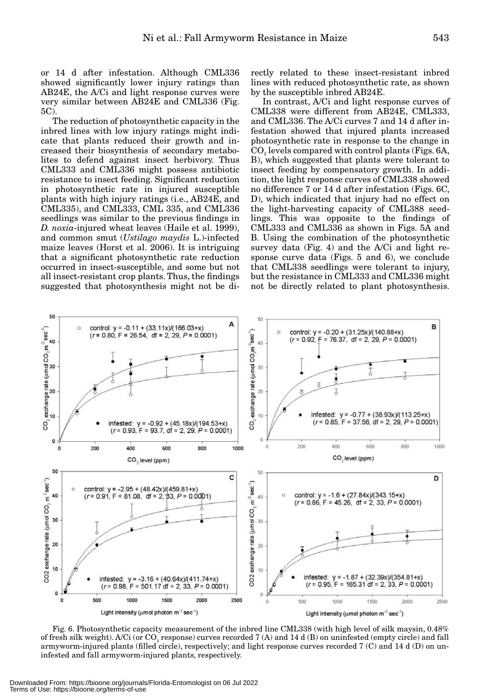or 14 d after infestation. Although CML336 showed significantly lower injury ratings than AB24E, the A/Ci and light response curves were very similar between AB24E and CML336 (Fig. 5C).

The reduction of photosynthetic capacity in the inbred lines with low injury ratings might indicate that plants reduced their growth and increased their biosynthesis of secondary metabolites to defend against insect herbivory. Thus CML333 and CML336 might possess antibiotic resistance to insect feeding. Significant reduction in photosynthetic rate in injured susceptible plants with high injury ratings (i.e., AB24E, and CML335), and CML333, CML 335, and CML336 seedlings was similar to the previous findings in *D. noxia*-injured wheat leaves (Haile et al. 1999), and common smut (*Ustilago maydis* L.)-infected maize leaves (Horst et al. 2006). It is intriguing that a significant photosynthetic rate reduction occurred in insect-susceptible, and some but not all insect-resistant crop plants. Thus, the findings suggested that photosynthesis might not be directly related to these insect-resistant inbred lines with reduced photosynthetic rate, as shown by the susceptible inbred AB24E.

In contrast, A/Ci and light response curves of CML338 were different from AB24E, CML333, and CML336. The A/Ci curves 7 and 14 d after infestation showed that injured plants increased photosynthetic rate in response to the change in CO<sub>2</sub> levels compared with control plants (Figs. 6A, B), which suggested that plants were tolerant to insect feeding by compensatory growth. In addition, the light response curves of CML338 showed no difference 7 or 14 d after infestation (Figs. 6C, D), which indicated that injury had no effect on the light-harvesting capacity of CML388 seedlings. This was opposite to the findings of CML333 and CML336 as shown in Figs. 5A and B. Using the combination of the photosynthetic survey data (Fig. 4) and the A/Ci and light response curve data (Figs. 5 and 6), we conclude that CML338 seedlings were tolerant to injury, but the resistance in CML333 and CML336 might not be directly related to plant photosynthesis.



Fig. 6. Photosynthetic capacity measurement of the inbred line CML338 (with high level of silk maysin, 0.48% of fresh silk weight). A/Ci (or  $CO<sub>2</sub>$  response) curves recorded 7 (A) and 14 d (B) on uninfested (empty circle) and fall armyworm-injured plants (filled circle), respectively; and light response curves recorded 7 (C) and 14 d (D) on uninfested and fall armyworm-injured plants, respectively.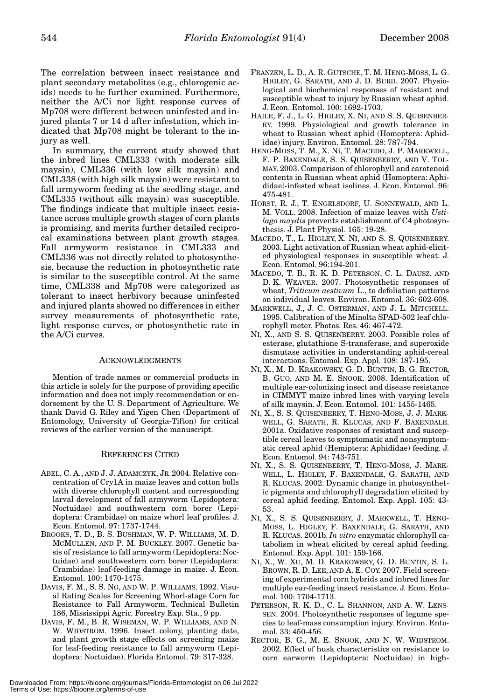The correlation between insect resistance and plant secondary metabolites (e.g., chlorogenic acids) needs to be further examined. Furthermore, neither the A/Ci nor light response curves of Mp708 were different between uninfested and injured plants 7 or 14 d after infestation, which indicated that Mp708 might be tolerant to the injury as well.

In summary, the current study showed that the inbred lines CML333 (with moderate silk maysin), CML336 (with low silk maysin) and CML338 (with high silk maysin) were resistant to fall armyworm feeding at the seedling stage, and CML335 (without silk maysin) was susceptible. The findings indicate that multiple insect resistance across multiple growth stages of corn plants is promising, and merits further detailed reciprocal examinations between plant growth stages. Fall armyworm resistance in CML333 and CML336 was not directly related to photosynthesis, because the reduction in photosynthetic rate is similar to the susceptible control. At the same time, CML338 and Mp708 were categorized as tolerant to insect herbivory because uninfested and injured plants showed no differences in either survey measurements of photosynthetic rate, light response curves, or photosynthetic rate in the A/Ci curves.

### ACKNOWLEDGMENTS

Mention of trade names or commercial products in this article is solely for the purpose of providing specific information and does not imply recommendation or endorsement by the U. S. Department of Agriculture. We thank David G. Riley and Yigen Chen (Department of Entomology, University of Georgia-Tifton) for critical reviews of the earlier version of the manuscript.

## REFERENCES CITED

- ABEL, C. A., AND J. J. ADAMCZYK, JR. 2004. Relative concentration of Cry1A in maize leaves and cotton bolls with diverse chlorophyll content and corresponding larval development of fall armyworm (Lepidoptera: Noctuidae) and southwestern corn borer (Lepidoptera: Crambidae) on maize whorl leaf profiles. J. Econ. Entomol. 97: 1737-1744.
- BROOKS, T. D., B. S. BUSHMAN, W. P. WILLIAMS, M. D. MCMULLEN, AND P. M. BUCKLEY. 2007. Genetic basis of resistance to fall armyworm (Lepidoptera: Noctuidae) and southwestern corn borer (Lepidoptera: Crambidae) leaf-feeding damage in maize. J. Econ. Entomol. 100: 1470-1475.
- DAVIS, F. M., S. S. NG, AND W. P. WILLIAMS. 1992. Visual Rating Scales for Screening Whorl-stage Corn for Resistance to Fall Armyworm. Technical Bulletin 186, Mississippi Agric. Forestry Exp. Sta., 9 pp.
- DAVIS, F. M., B. R. WISEMAN, W. P. WILLIAMS, AND N. W. WIDSTROM. 1996. Insect colony, planting date, and plant growth stage effects on screening maize for leaf-feeding resistance to fall armyworm (Lepidoptera: Noctuidae). Florida Entomol. 79: 317-328.
- FRANZEN, L. D., A. R. GUTSCHE, T. M. HENG-MOSS, L. G. HIGLEY, G. SARATH, AND J. D. BURD. 2007. Physiological and biochemical responses of resistant and susceptible wheat to injury by Russian wheat aphid. J. Econ. Entomol. 100: 1692-1703.
- HAILE, F. J., L. G. HIGLEY, X. NI, AND S. S. QUISENBER-RY. 1999. Physiological and growth tolerance in wheat to Russian wheat aphid (Homoptera: Aphididae) injury. Environ. Entomol. 28: 787-794.
- HENG-MOSS, T. M., X. Ni, T. MACEDO, J. P. MARKWELL, F. P. BAXENDALE, S. S. QUISENBERRY, AND V. TOL-MAY. 2003. Comparison of chlorophyll and carotenoid contents in Russian wheat aphid (Homoptera: Aphididae)-infested wheat isolines. J. Econ. Entomol. 96: 475-481.
- HORST, R. J., T. ENGELSDORF, U. SONNEWALD, AND L. M. VOLL. 2008. Infection of maize leaves with *Ustilago maydis* prevents establishment of C4 photosynthesis. J. Plant Physiol. 165: 19-28.
- MACEDO, T., L. HIGLEY, X. NI, AND S. S. QUISENBERRY. 2003. Light activation of Russian wheat aphid-elicited physiological responses in susceptible wheat. J. Econ. Entomol. 96:194-201.
- MACEDO, T. B., R. K. D. PETERSON, C. L. DAUSZ, AND D. K. WEAVER. 2007. Photosynthetic responses of wheat, *Triticum aestivum* L., to defoliation patterns on individual leaves. Environ. Entomol. 36: 602-608.
- MARKWELL, J., J. C. OSTERMAN, AND J. L. MITCHELL. 1995. Calibration of the Minolta SPAD-502 leaf chlorophyll meter. Photos. Res. 46: 467-472.
- NI, X., AND S. S. QUISENBERRY. 2003. Possible roles of esterase, glutathione S-transferase, and superoxide dismutase activities in understanding aphid-cereal interactions. Entomol. Exp. Appl. 108: 187-195.
- NI, X., M. D. KRAKOWSKY, G. D. BUNTIN, B. G. RECTOR, B. GUO, AND M. E. SNOOK. 2008. Identification of multiple ear-colonizing insect and disease resistance in CIMMYT maize inbred lines with varying levels of silk maysin. J. Econ. Entomol. 101: 1455-1465.
- NI, X., S. S. QUISENBERRY, T. HENG-MOSS, J. J. MARK-WELL, G. SARATH, R. KLUCAS, AND F. BAXENDALE. 2001a. Oxidative responses of resistant and susceptible cereal leaves to symptomatic and nonsymptomatic cereal aphid (Hemiptera: Aphididae) feeding. J. Econ. Entomol. 94: 743-751.
- NI, X., S. S. QUISENBERRY, T. HENG-MOSS, J. MARK-WELL, L. HIGLEY, F. BAXENDALE, G. SARATH, AND R. KLUCAS. 2002. Dynamic change in photosynthetic pigments and chlorophyll degradation elicited by cereal aphid feeding. Entomol. Exp. Appl. 105: 43- 53.
- NI, X., S. S. QUISENBERRY, J. MARKWELL, T. HENG-MOSS, L. HIGLEY, F. BAXENDALE, G. SARATH, AND R. KLUCAS. 2001b*. In vitro* enzymatic chlorophyll catabolism in wheat elicited by cereal aphid feeding. Entomol. Exp. Appl. 101: 159-166.
- NI, X., W. XU, M. D. KRAKOWSKY, G. D. BUNTIN, S. L. BROWN, R. D. LEE, AND A. E. COY. 2007. Field screening of experimental corn hybrids and inbred lines for multiple ear-feeding insect resistance. J. Econ. Entomol. 100: 1704-1713.
- PETERSON, R. K. D., C. L. SHANNON, AND A. W. LENS-SEN. 2004. Photosynthetic responses of legume species to leaf-mass consumption injury. Environ. Entomol. 33: 450-456.
- RECTOR, B. G., M. E. SNOOK, AND N. W. WIDSTROM. 2002. Effect of husk characteristics on resistance to corn earworm (Lepidoptera: Noctuidae) in high-